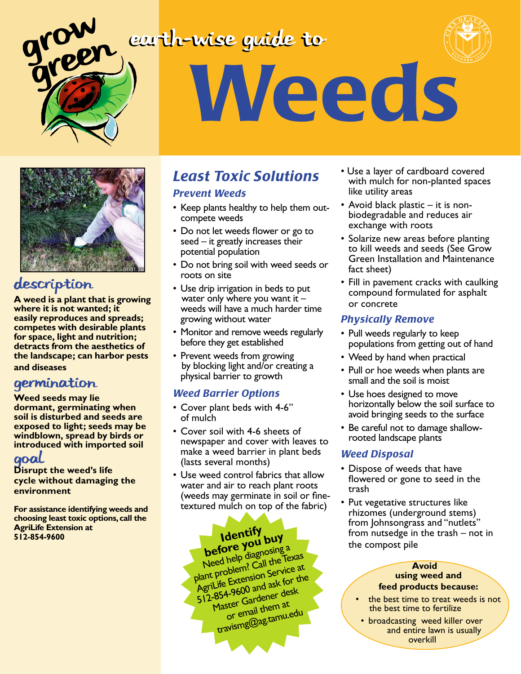### earth-wise guide to





# Weeds



#### description

**A weed is a plant that is growing where it is not wanted; it easily reproduces and spreads; competes with desirable plants for space, light and nutrition; detracts from the aesthetics of the landscape; can harbor pests** 

**and diseases**

#### germination

**Weed seeds may lie dormant, germinating when soil is disturbed and seeds are exposed to light; seeds may be windblown, spread by birds or introduced with imported soil**

#### goal

**Disrupt the weed's life cycle without damaging the environment**

**For assistance identifying weeds and choosing least toxic options, call the AgriLife Extension at 512-854-9600**

#### *Least Toxic Solutions Prevent Weeds*

- Keep plants healthy to help them outcompete weeds
- Do not let weeds flower or go to seed – it greatly increases their potential population
- Do not bring soil with weed seeds or roots on site
- Use drip irrigation in beds to put water only where you want it  $$ weeds will have a much harder time growing without water
- Monitor and remove weeds regularly before they get established
- Prevent weeds from growing by blocking light and/or creating a physical barrier to growth

#### *Weed Barrier Options*

- Cover plant beds with 4-6" of mulch
- Cover soil with 4-6 sheets of newspaper and cover with leaves to make a weed barrier in plant beds (lasts several months)
- Use weed control fabrics that allow water and air to reach plant roots (weeds may germinate in soil or finetextured mulch on top of the fabric)

## **Identify before you buy**

Need help diagnosing a plant problem? Call the Texas AgriLife Extension Service at 512-854-9600 and ask for the Master Gardener desk or email them at travismg@ag.tamu.edu

- Use a layer of cardboard covered with mulch for non-planted spaces like utility areas
- Avoid black plastic it is nonbiodegradable and reduces air exchange with roots
- Solarize new areas before planting to kill weeds and seeds (See Grow Green Installation and Maintenance fact sheet)
- Fill in pavement cracks with caulking compound formulated for asphalt or concrete

#### *Physically Remove*

- Pull weeds regularly to keep populations from getting out of hand
- Weed by hand when practical
- Pull or hoe weeds when plants are small and the soil is moist
- Use hoes designed to move horizontally below the soil surface to avoid bringing seeds to the surface
- Be careful not to damage shallowrooted landscape plants

#### *Weed Disposal*

- Dispose of weeds that have flowered or gone to seed in the trash
- Put vegetative structures like rhizomes (underground stems) from Johnsongrass and "nutlets" from nutsedge in the trash – not in the compost pile

#### **Avoid using weed and feed products because:**

- the best time to treat weeds is not the best time to fertilize
- broadcasting weed killer over and entire lawn is usually overkill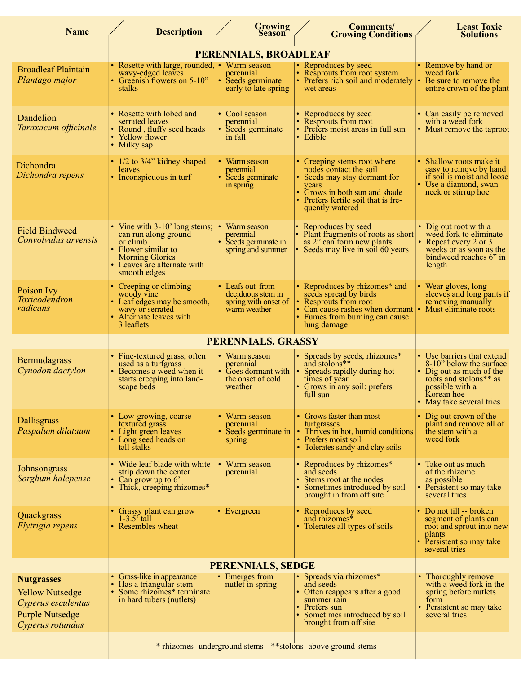| <b>Name</b>                                                                                                     | <b>Description</b>                                                                                                                                                | <b>Growing</b><br><b>Season</b>                                                   | <b>Comments/</b><br><b>Growing Conditions</b>                                                                                                                                              | <b>Least Toxic</b><br><b>Solutions</b>                                                                                                                                 |  |
|-----------------------------------------------------------------------------------------------------------------|-------------------------------------------------------------------------------------------------------------------------------------------------------------------|-----------------------------------------------------------------------------------|--------------------------------------------------------------------------------------------------------------------------------------------------------------------------------------------|------------------------------------------------------------------------------------------------------------------------------------------------------------------------|--|
|                                                                                                                 | PERENNIALS, BROADLEAF                                                                                                                                             |                                                                                   |                                                                                                                                                                                            |                                                                                                                                                                        |  |
| <b>Broadleaf Plaintain</b><br>Plantago major                                                                    | • Rosette with large, rounded, • Warm season<br>wavy-edged leaves<br>• Greenish flowers on 5-10"<br>stalks                                                        | perennial<br>• Seeds germinate<br>early to late spring                            | • Reproduces by seed<br>• Resprouts from root system<br>• Prefers rich soil and moderately<br>wet areas                                                                                    | • Remove by hand or<br>weed fork<br>Be sure to remove the<br>entire crown of the plant                                                                                 |  |
| Dandelion<br>Taraxacum officinale                                                                               | • Rosette with lobed and<br>serrated leaves<br>• Round, fluffy seed heads<br>• Yellow flower<br>• Milky sap                                                       | • Cool season<br>perennial<br>• Seeds germinate<br>in fall                        | • Reproduces by seed<br>• Resprouts from root<br>• Prefers moist areas in full sun<br>• Edible                                                                                             | • Can easily be removed<br>with a weed fork<br>• Must remove the taproot                                                                                               |  |
| Dichondra<br>Dichondra repens                                                                                   | $\cdot$ 1/2 to 3/4" kidney shaped<br>leaves<br>• Inconspicuous in turf                                                                                            | • Warm season<br>perennial<br>• Seeds germinate<br>in spring                      | • Creeping stems root where<br>nodes contact the soil<br>• Seeds may stay dormant for<br>vears<br>Grows in both sun and shade<br>• Prefers fertile soil that is fre-<br>quently watered    | Shallow roots make it<br>easy to remove by hand<br>if soil is moist and loose<br>• Use a diamond, swan<br>neck or stirrup hoe                                          |  |
| <b>Field Bindweed</b><br>Convolvulus arvensis                                                                   | • Vine with 3-10' long stems;<br>can run along ground<br>or climb<br>• Flower similar to<br><b>Morning Glories</b><br>• Leaves are alternate with<br>smooth edges | • Warm season<br>perennial<br>• Seeds germinate in<br>spring and summer           | • Reproduces by seed<br>• Plant fragments of roots as short<br>as 2" can form new plants<br>Seeds may live in soil 60 years                                                                | • Dig out root with a<br>weed fork to eliminate<br>• Repeat every 2 or 3<br>weeks or as soon as the<br>bindweed reaches 6" in<br>length                                |  |
| Poison Ivy<br>Toxicodendron<br>radicans                                                                         | • Creeping or climbing<br>woody vine<br>Leaf edges may be smooth,<br>wavy or serrated<br>Alternate leaves with<br>3 leaflets                                      | • Leafs out from<br>deciduous stem in<br>spring with onset of<br>warm weather     | • Reproduces by rhizomes* and<br>seeds spread by birds<br>• Resprouts from root<br>• Can cause rashes when dormant • Must eliminate roots<br>• Fumes from burning can cause<br>lung damage | • Wear gloves, long<br>sleeves and long pants if<br>removing manually                                                                                                  |  |
|                                                                                                                 | PERENNIALS, GRASSY                                                                                                                                                |                                                                                   |                                                                                                                                                                                            |                                                                                                                                                                        |  |
| Bermudagrass<br>Cynodon dactylon                                                                                | • Fine-textured grass, often<br>used as a turfgrass<br>• Becomes a weed when it<br>starts creeping into land-<br>scape beds                                       | • Warm season<br>perennial<br>• Goes dormant with<br>the onset of cold<br>weather | • Spreads by seeds, rhizomes*<br>and stolons**<br>• Spreads rapidly during hot<br>times of year<br>• Grows in any soil; prefers<br>full sun                                                | • Use barriers that extend<br>8-10" below the surface<br>Dig out as much of the<br>roots and stolons** as<br>possible with a<br>Korean hoe<br>• May take several tries |  |
| <b>Dallisgrass</b><br>Paspalum dilataum                                                                         | • Low-growing, coarse-<br>textured grass<br>• Light green leaves<br>• Long seed heads on<br>tall stalks                                                           | • Warm season<br>perennial<br>Seeds germinate in<br>spring                        | • Grows faster than most<br>turfgrasses<br>• Thrives in hot, humid conditions<br>• Prefers moist soil<br>• Tolerates sandy and clay soils                                                  | • Dig out crown of the<br>plant and remove all of<br>the stem with a<br>weed fork                                                                                      |  |
| Johnsongrass<br>Sorghum halepense                                                                               | • Wide leaf blade with white<br>strip down the center<br>• Can grow up to $6'$<br>• Thick, creeping rhizomes*                                                     | • Warm season<br>perennial                                                        | • Reproduces by rhizomes*<br>and seeds<br>Stems root at the nodes<br>• Sometimes introduced by soil<br>brought in from off site                                                            | • Take out as much<br>of the rhizome<br>as possible<br>• Persistent so may take<br>several tries                                                                       |  |
| Quackgrass<br>Elytrigia repens                                                                                  | • Grassy plant can grow<br>$1-3.5$ tall<br>• Resembles wheat                                                                                                      | • Evergreen                                                                       | • Reproduces by seed<br>and rhizomes*<br>• Tolerates all types of soils                                                                                                                    | Do not till -- broken<br>segment of plants can<br>root and sprout into new<br>plants<br>Persistent so may take<br>several tries                                        |  |
|                                                                                                                 |                                                                                                                                                                   |                                                                                   |                                                                                                                                                                                            |                                                                                                                                                                        |  |
| <b>Nutgrasses</b><br><b>Yellow Nutsedge</b><br>Cyperus esculentus<br><b>Purple Nutsedge</b><br>Cyperus rotundus | • Grass-like in appearance<br>Has a triangular stem<br>• Some rhizomes* terminate<br>in hard tubers (nutlets)                                                     | • Emerges from<br>nutlet in spring                                                | • Spreads via rhizomes*<br>and seeds<br>• Often reappears after a good<br>summer rain<br>Prefers sun<br>• Sometimes introduced by soil<br>brought from off site                            | Thoroughly remove<br>with a weed fork in the<br>spring before nutlets<br>form<br>• Persistent so may take<br>several tries                                             |  |
|                                                                                                                 | * rhizomes- underground stems ** stolons- above ground stems                                                                                                      |                                                                                   |                                                                                                                                                                                            |                                                                                                                                                                        |  |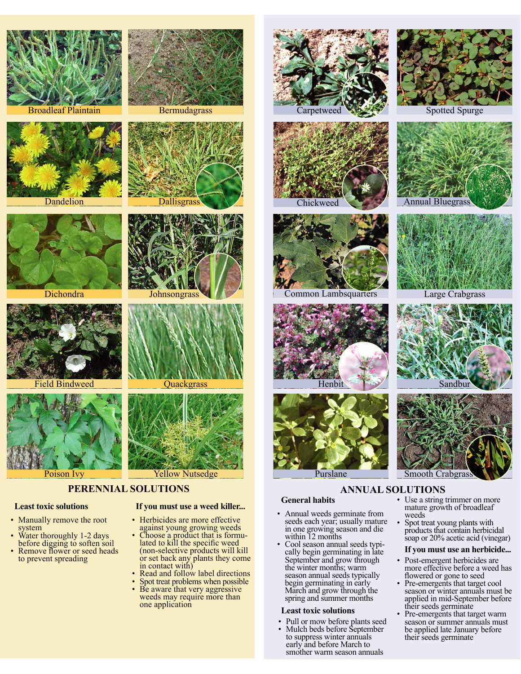

Broadleaf Plaintain **Bermudagrass** 



Dandelion Dallisgrass



Dichondra Johnsongrass





# Field Bindweed Quackgrass



Poison Ivy **Yellow Nutsedge** 

#### **PERENNIAL SOLUTIONS**

#### **Least toxic solutions If you must use a weed killer...**

- Manually remove the root system
- Water thoroughly 1-2 days<br>before digging to soften soil Remove flower or seed heads to prevent spreading



- against young growing weeds<br>Choose a product that is formu-<br>lated to kill the specific weed (non-selective products will kill or set back any plants they come
- in contact with) Read and follow label directions Spot treat problems when possible Be aware that very aggressive
- 
- weeds may require more than one application



Carpetweed Spotted Spurge



Chickweed



Common Lambsquarters











Large Crabgrass





#### Purslane Smooth Crabgras

#### **ANNUAL SOLUTIONS**

- **General habits**
- Annual weeds germinate from seeds each year; usually mature in one growing season and die within 12 months
- Cool season annual seeds typi-<br>cally begin germinating in late September and grow through the winter months; warm season annual seeds typically begin germinating in early March and grow through the spring and summer months

#### **Least toxic solutions**

- Pull or mow before plants seed
- Mulch beds before September to suppress winter annuals early and before March to smother warm season annuals
- Use a string trimmer on more mature growth of broadleaf weeds
- Spot treat young plants with products that contain herbicidal soap or 20% acetic acid (vinegar)

#### **If you must use an herbicide...**

- Post-emergent herbicides are more effective before a weed has flowered or gone to seed
- Pre-emergents that target cool season or winter annuals must be applied in mid-September before their seeds germinate
- Pre-emergents that target warm season or summer annuals must be applied late January before their seeds germinate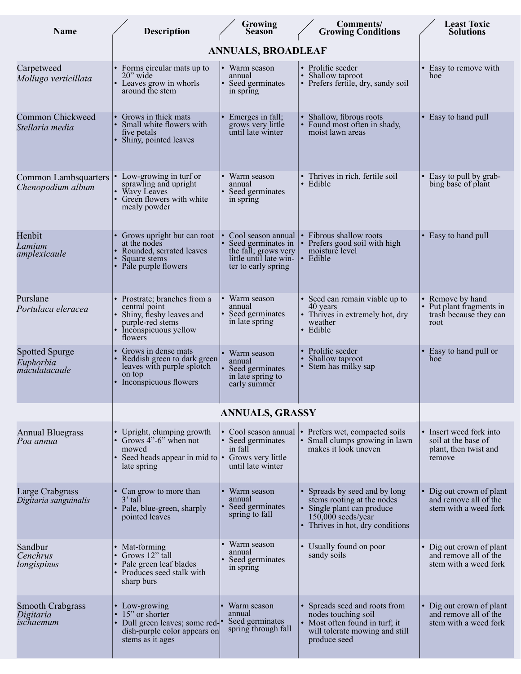| <b>Description</b>                                                                                                             | <b>Growing</b><br>Season                                                                   | <b>Comments/</b><br><b>Growing Conditions</b>                                                                                                         | <b>Least Toxic</b><br><b>Solutions</b>                                            |  |  |  |  |  |  |
|--------------------------------------------------------------------------------------------------------------------------------|--------------------------------------------------------------------------------------------|-------------------------------------------------------------------------------------------------------------------------------------------------------|-----------------------------------------------------------------------------------|--|--|--|--|--|--|
| <b>ANNUALS, BROADLEAF</b>                                                                                                      |                                                                                            |                                                                                                                                                       |                                                                                   |  |  |  |  |  |  |
| • Forms circular mats up to<br>$20$ " wide<br>Leaves grow in whorls<br>around the stem                                         | Warm season<br>annual<br>Seed germinates<br>in spring                                      | • Prolific seeder<br>• Shallow taproot<br>• Prefers fertile, dry, sandy soil                                                                          | Easy to remove with<br>hoe                                                        |  |  |  |  |  |  |
| Grows in thick mats<br>Small white flowers with<br>five petals<br>Shiny, pointed leaves                                        | Emerges in fall;<br>grows very little<br>until late winter                                 | • Shallow, fibrous roots<br>• Found most often in shady,<br>moist lawn areas                                                                          | • Easy to hand pull                                                               |  |  |  |  |  |  |
| Low-growing in turf or<br>sprawling and upright<br>Wavy Leaves<br>Green flowers with white<br>mealy powder                     | Warm season<br>annual<br>Seed germinates<br>in spring                                      | • Thrives in rich, fertile soil<br>· Edible                                                                                                           | Easy to pull by grab-<br>bing base of plant                                       |  |  |  |  |  |  |
| Grows upright but can root<br>at the nodes<br>Rounded, serrated leaves<br>Square stems<br>Pale purple flowers                  | Cool season annual<br>Seed germinates in<br>little until late win-<br>ter to early spring  | • Fibrous shallow roots<br>• Prefers good soil with high<br>moisture level<br>• Edible                                                                | • Easy to hand pull                                                               |  |  |  |  |  |  |
| Prostrate; branches from a<br>central point<br>Shiny, fleshy leaves and<br>purple-red stems<br>Inconspicuous yellow<br>flowers | Warm season<br>annual<br>Seed germinates<br>in late spring                                 | • Seed can remain viable up to<br>40 years<br>• Thrives in extremely hot, dry<br>weather<br>• Edible                                                  | Remove by hand<br>Put plant fragments in<br>trash because they can<br>root        |  |  |  |  |  |  |
| Grows in dense mats<br>leaves with purple splotch<br>on top<br>Inconspicuous flowers                                           | Warm season<br>annual<br>Seed germinates<br>in late spring to<br>early summer              | • Prolific seeder<br>Shallow taproot<br>• Stem has milky sap                                                                                          | Easy to hand pull or<br>hoe                                                       |  |  |  |  |  |  |
|                                                                                                                                |                                                                                            |                                                                                                                                                       |                                                                                   |  |  |  |  |  |  |
| • Upright, clumping growth<br>• Grows $4"$ -6" when not<br>mowed<br>late spring                                                | Cool season annual<br>Seed germinates<br>in fall<br>Grows very little<br>until late winter | • Prefers wet, compacted soils<br>Small clumps growing in lawn<br>$\bullet$<br>makes it look uneven                                                   | • Insert weed fork into<br>soil at the base of<br>plant, then twist and<br>remove |  |  |  |  |  |  |
| Can grow to more than<br>$3'$ tall<br>• Pale, blue-green, sharply<br>pointed leaves                                            | Warm season<br>annual<br>Seed germinates<br>spring to fall                                 | • Spreads by seed and by long<br>stems rooting at the nodes<br>• Single plant can produce<br>$150,000$ seeds/year<br>• Thrives in hot, dry conditions | Dig out crown of plant<br>and remove all of the<br>stem with a weed fork          |  |  |  |  |  |  |
| • Mat-forming<br>• Grows $12$ " tall<br>• Pale green leaf blades<br>• Produces seed stalk with<br>sharp burs                   | Warm season<br>annual<br>Seed germinates<br>in spring                                      | • Usually found on poor<br>sandy soils                                                                                                                | • Dig out crown of plant<br>and remove all of the<br>stem with a weed fork        |  |  |  |  |  |  |
| • Low-growing<br>15" or shorter<br>stems as it ages                                                                            | Warm season<br>annual<br>Seed germinates<br>spring through fall                            | • Spreads seed and roots from<br>nodes touching soil<br>• Most often found in turf; it<br>will tolerate mowing and still<br>produce seed              | • Dig out crown of plant<br>and remove all of the<br>stem with a weed fork        |  |  |  |  |  |  |
|                                                                                                                                |                                                                                            | Reddish green to dark green<br>• Seed heads appear in mid to $\cdot$<br>• Dull green leaves; some red-<br>dish-purple color appears on                | the fall; grows very<br><b>ANNUALS, GRASSY</b>                                    |  |  |  |  |  |  |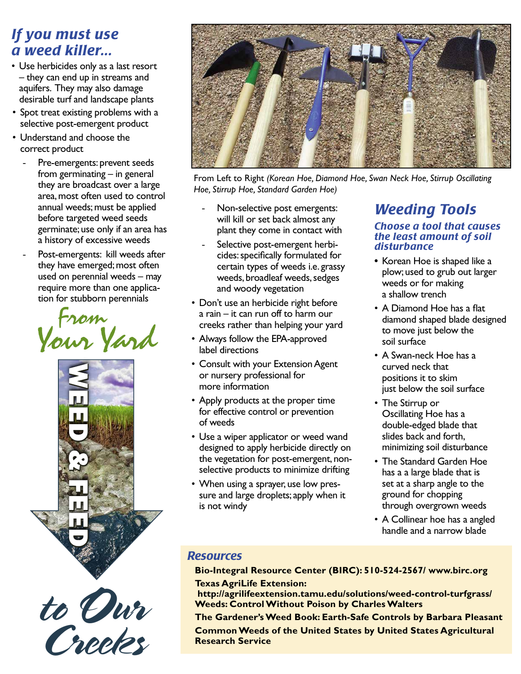#### *If you must use a weed killer...*

- Use herbicides only as a last resort – they can end up in streams and aquifers. They may also damage desirable turf and landscape plants
- Spot treat existing problems with a selective post-emergent product
- Understand and choose the correct product
	- Pre-emergents: prevent seeds from germinating – in general they are broadcast over a large area, most often used to control annual weeds; must be applied before targeted weed seeds germinate; use only if an area has a history of excessive weeds
	- Post-emergents: kill weeds after they have emerged; most often used on perennial weeds – may require more than one application for stubborn perennials









From Left to Right *(Korean Hoe, Diamond Hoe, Swan Neck Hoe, Stirrup Oscillating Hoe, Stirrup Hoe, Standard Garden Hoe)*

- Non-selective post emergents: will kill or set back almost any plant they come in contact with
- Selective post-emergent herbicides: specifically formulated for certain types of weeds i.e. grassy weeds, broadleaf weeds, sedges and woody vegetation
- Don't use an herbicide right before a rain – it can run off to harm our creeks rather than helping your yard
- Always follow the EPA-approved label directions
- Consult with your Extension Agent or nursery professional for more information
- Apply products at the proper time for effective control or prevention of weeds
- Use a wiper applicator or weed wand designed to apply herbicide directly on the vegetation for post-emergent, nonselective products to minimize drifting
- When using a sprayer, use low pressure and large droplets; apply when it is not windy

#### *Weeding Tools Choose a tool that causes*

#### *the least amount of soil disturbance* **•** Korean Hoe is shaped like a

- plow; used to grub out larger weeds or for making a shallow trench
- A Diamond Hoe has a flat diamond shaped blade designed to move just below the soil surface
- A Swan-neck Hoe has a curved neck that positions it to skim just below the soil surface
- The Stirrup or Oscillating Hoe has a double-edged blade that slides back and forth, minimizing soil disturbance
- The Standard Garden Hoe has a a large blade that is set at a sharp angle to the ground for chopping through overgrown weeds
- A Collinear hoe has a angled handle and a narrow blade

#### *Resources*

**Bio-Integral Resource Center (BIRC): 510-524-2567/ www.birc.org Texas AgriLife Extension:** 

 **http://agrilifeextension.tamu.edu/solutions/weed-control-turfgrass/ Weeds: Control Without Poison by Charles Walters**

**The Gardener's Weed Book: Earth-Safe Controls by Barbara Pleasant**

**Common Weeds of the United States by United States Agricultural Research Service**